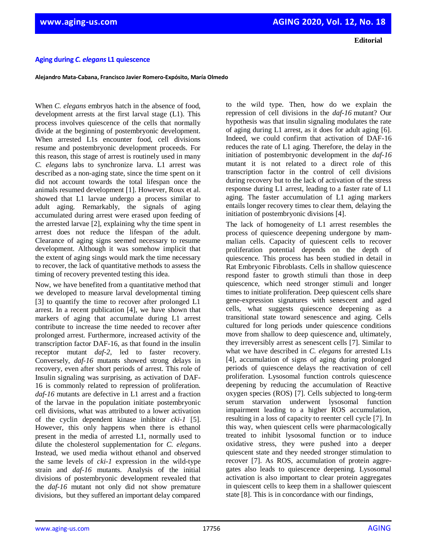**Editorial**

## **Aging during** *C. elegans* **L1 quiescence**

**Alejandro Mata-Cabana, Francisco Javier Romero-Expósito, María Olmedo**

When *C. elegans* embryos hatch in the absence of food, development arrests at the first larval stage (L1). This process involves quiescence of the cells that normally divide at the beginning of postembryonic development. When arrested L1s encounter food, cell divisions resume and postembryonic development proceeds. For this reason, this stage of arrest is routinely used in many *C. elegans* labs to synchronize larva. L1 arrest was described as a non-aging state, since the time spent on it did not account towards the total lifespan once the animals resumed development [1]. However, Roux et al. showed that L1 larvae undergo a process similar to adult aging. Remarkably, the signals of aging accumulated during arrest were erased upon feeding of the arrested larvae [2], explaining why the time spent in arrest does not reduce the lifespan of the adult. Clearance of aging signs seemed necessary to resume development. Although it was somehow implicit that the extent of aging sings would mark the time necessary to recover, the lack of quantitative methods to assess the timing of recovery prevented testing this idea.

Now, we have benefited from a quantitative method that we developed to measure larval developmental timing [3] to quantify the time to recover after prolonged L1 arrest. In a recent publication [4], we have shown that markers of aging that accumulate during L1 arrest contribute to increase the time needed to recover after prolonged arrest. Furthermore, increased activity of the transcription factor DAF-16, as that found in the insulin receptor mutant *daf-2*, led to faster recovery. Conversely, *daf-16* mutants showed strong delays in recovery, even after short periods of arrest. This role of Insulin signaling was surprising, as activation of DAF-16 is commonly related to repression of proliferation. *daf-16* mutants are defective in L1 arrest and a fraction of the larvae in the population initiate postembryonic cell divisions, what was attributed to a lower activation of the cyclin dependent kinase inhibitor *cki-1* [5]. However, this only happens when there is ethanol present in the media of arrested L1, normally used to dilute the cholesterol supplementation for *C. elegans*. Instead, we used media without ethanol and observed the same levels of *cki-1* expression in the wild-type strain and *daf-16* mutants. Analysis of the initial divisions of postembryonic development revealed that the *daf-16* mutant not only did not show premature divisions, but they suffered an important delay compared

to the wild type. Then, how do we explain the repression of cell divisions in the *daf-16* mutant? Our hypothesis was that insulin signaling modulates the rate of aging during L1 arrest, as it does for adult aging [6]. Indeed, we could confirm that activation of DAF-16 reduces the rate of L1 aging. Therefore, the delay in the initiation of postembryonic development in the *daf-16* mutant it is not related to a direct role of this transcription factor in the control of cell divisions during recovery but to the lack of activation of the stress response during L1 arrest, leading to a faster rate of L1 aging. The faster accumulation of L1 aging markers entails longer recovery times to clear them, delaying the initiation of postembryonic divisions [4].

The lack of homogeneity of L1 arrest resembles the process of quiescence deepening undergone by mammalian cells. Capacity of quiescent cells to recover proliferation potential depends on the depth of quiescence. This process has been studied in detail in Rat Embryonic Fibroblasts. Cells in shallow quiescence respond faster to growth stimuli than those in deep quiescence, which need stronger stimuli and longer times to initiate proliferation. Deep quiescent cells share gene-expression signatures with senescent and aged cells, what suggests quiescence deepening as a transitional state toward senescence and aging. Cells cultured for long periods under quiescence conditions move from shallow to deep quiescence and, ultimately, they irreversibly arrest as senescent cells [7]. Similar to what we have described in *C. elegans* for arrested L1s [4], accumulation of signs of aging during prolonged periods of quiescence delays the reactivation of cell proliferation. Lysosomal function controls quiescence deepening by reducing the accumulation of Reactive oxygen species (ROS) [7]. Cells subjected to long-term serum starvation underwent lysosomal function impairment leading to a higher ROS accumulation, resulting in a loss of capacity to reenter cell cycle [7]. In this way, when quiescent cells were pharmacologically treated to inhibit lysosomal function or to induce oxidative stress, they were pushed into a deeper quiescent state and they needed stronger stimulation to recover [7]. As ROS, accumulation of protein aggregates also leads to quiescence deepening. Lysosomal activation is also important to clear protein aggregates in quiescent cells to keep them in a shallower quiescent state [8]. This is in concordance with our findings,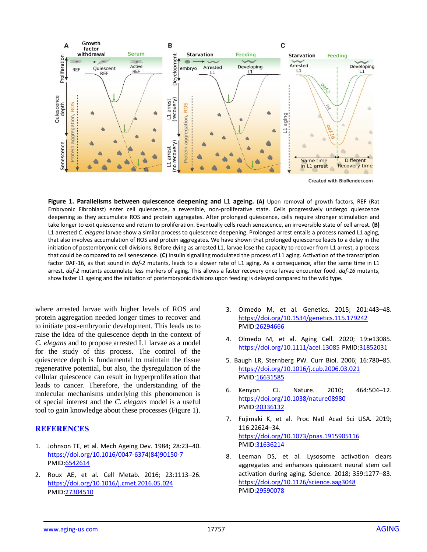

**Figure 1. Parallelisms between quiescence deepening and L1 ageing. (A)** Upon removal of growth factors, REF (Rat Embryonic Fibroblast) enter cell quiescence, a reversible, non-proliferative state. Cells progressively undergo quiescence deepening as they accumulate ROS and protein aggregates. After prolonged quiescence, cells require stronger stimulation and take longer to exit quiescence and return to proliferation. Eventually cells reach senescence, an irreversible state of cell arrest. **(B)** L1 arrested *C. elegans* larvae show a similar process to quiescence deepening. Prolonged arrest entails a process named L1 aging, that also involves accumulation of ROS and protein aggregates. We have shown that prolonged quiescence leads to a delay in the initiation of postembryonic cell divisions. Before dying as arrested L1, larvae lose the capacity to recover from L1 arrest, a process that could be compared to cell senescence. **(C)** Insulin signalling modulated the process of L1 aging. Activation of the transcription factor DAF-16, as that sound in *daf-2* mutants, leads to a slower rate of L1 aging. As a consequence, after the same time in L1 arrest, *daf-2* mutants accumulate less markers of aging. This allows a faster recovery once larvae encounter food. *daf-16* mutants, show faster L1 ageing and the initiation of postembryonic divisions upon feeding is delayed compared to the wild type.

where arrested larvae with higher levels of ROS and protein aggregation needed longer times to recover and to initiate post-embryonic development. This leads us to raise the idea of the quiescence depth in the context of *C. elegans* and to propose arrested L1 larvae as a model for the study of this process. The control of the quiescence depth is fundamental to maintain the tissue regenerative potential, but also, the dysregulation of the cellular quiescence can result in hyperproliferation that leads to cancer. Therefore, the understanding of the molecular mechanisms underlying this phenomenon is of special interest and the *C. elegans* model is a useful tool to gain knowledge about these processes (Figure 1).

## **REFERENCES**

- 1. Johnson TE, et al*.* Mech Ageing Dev. 1984; 28:23–40. [https://doi.org/10.1016/0047-6374\(84\)90150-7](https://doi.org/10.1016/0047-6374(84)90150-7) PMID[:6542614](https://www.ncbi.nlm.nih.gov/entrez/query.fcgi?cmd=Retrieve&db=PubMed&list_uids=6542614&dopt=Abstract)
- 2. Roux AE, et al*.* Cell Metab. 2016; 23:1113–26. <https://doi.org/10.1016/j.cmet.2016.05.024> PMID[:27304510](https://www.ncbi.nlm.nih.gov/entrez/query.fcgi?cmd=Retrieve&db=PubMed&list_uids=27304510&dopt=Abstract)
- 3. Olmedo M, et al. Genetics. 2015; 201:443–48. <https://doi.org/10.1534/genetics.115.179242> PMID[:26294666](https://www.ncbi.nlm.nih.gov/entrez/query.fcgi?cmd=Retrieve&db=PubMed&list_uids=26294666&dopt=Abstract)
- 4. Olmedo M, et al. Aging Cell. 2020; 19:e13085. <https://doi.org/10.1111/acel.13085> PMID[:31852031](https://www.ncbi.nlm.nih.gov/entrez/query.fcgi?cmd=Retrieve&db=PubMed&list_uids=31852031&dopt=Abstract)
- 5. Baugh LR, Sternberg PW. Curr Biol. 2006; 16:780–85. <https://doi.org/10.1016/j.cub.2006.03.021> PMID[:16631585](https://www.ncbi.nlm.nih.gov/entrez/query.fcgi?cmd=Retrieve&db=PubMed&list_uids=16631585&dopt=Abstract)
- 6. Kenyon CJ. Nature. 2010; 464:504–12. <https://doi.org/10.1038/nature08980> PMID[:20336132](https://www.ncbi.nlm.nih.gov/entrez/query.fcgi?cmd=Retrieve&db=PubMed&list_uids=20336132&dopt=Abstract)
- 7. Fujimaki K, et al. Proc Natl Acad Sci USA. 2019; 116:22624–34. <https://doi.org/10.1073/pnas.1915905116> PMID[:31636214](https://www.ncbi.nlm.nih.gov/entrez/query.fcgi?cmd=Retrieve&db=PubMed&list_uids=31636214&dopt=Abstract)
- 8. Leeman DS, et al. Lysosome activation clears aggregates and enhances quiescent neural stem cell activation during aging. Science. 2018; 359:1277–83. <https://doi.org/10.1126/science.aag3048> PMID[:29590078](https://www.ncbi.nlm.nih.gov/entrez/query.fcgi?cmd=Retrieve&db=PubMed&list_uids=29590078&dopt=Abstract)